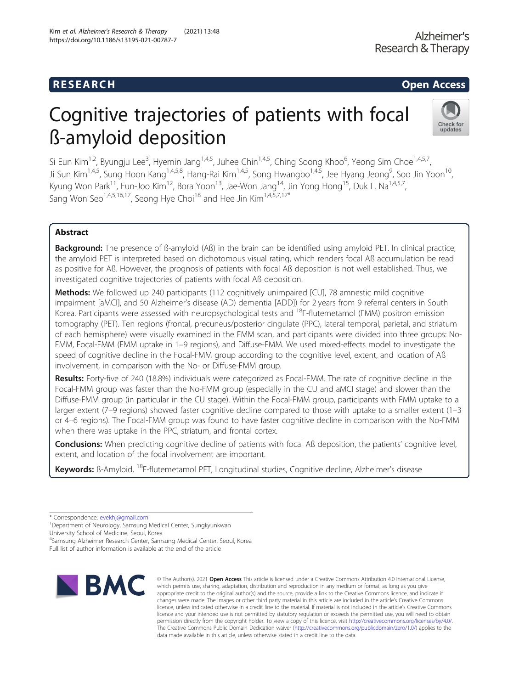## **RESEARCH CHILD CONTROL** CONTROL CONTROL CONTROL CONTROL CONTROL CONTROL CONTROL CONTROL CONTROL CONTROL CONTROL CONTROL CONTROL CONTROL CONTROL CONTROL CONTROL CONTROL CONTROL CONTROL CONTROL CONTROL CONTROL CONTROL CONTR

# Cognitive trajectories of patients with focal ß-amyloid deposition



Si Eun Kim<sup>1,2</sup>, Byungju Lee<sup>3</sup>, Hyemin Jang<sup>1,4,5</sup>, Juhee Chin<sup>1,4,5</sup>, Ching Soong Khoo<sup>6</sup>, Yeong Sim Choe<sup>1,4,5,7</sup>, Ji Sun Kim<sup>1,4,5</sup>, Sung Hoon Kang<sup>1,4,5,8</sup>, Hang-Rai Kim<sup>1,4,5</sup>, Song Hwangbo<sup>1,4,5</sup>, Jee Hyang Jeong<sup>9</sup>, Soo Jin Yoon<sup>10</sup>, Kyung Won Park<sup>11</sup>, Eun-Joo Kim<sup>12</sup>, Bora Yoon<sup>13</sup>, Jae-Won Jang<sup>14</sup>, Jin Yong Hong<sup>15</sup>, Duk L. Na<sup>1,4,5,7</sup>, Sang Won Seo<sup>1,4,5,16,17</sup>, Seong Hye Choi<sup>18</sup> and Hee Jin Kim<sup>1,4,5,7,17\*</sup>

## Abstract

**Background:** The presence of B-amyloid (AB) in the brain can be identified using amyloid PET. In clinical practice, the amyloid PET is interpreted based on dichotomous visual rating, which renders focal Aß accumulation be read as positive for Aß. However, the prognosis of patients with focal Aß deposition is not well established. Thus, we investigated cognitive trajectories of patients with focal Aß deposition.

Methods: We followed up 240 participants (112 cognitively unimpaired [CU], 78 amnestic mild cognitive impairment [aMCI], and 50 Alzheimer's disease (AD) dementia [ADD]) for 2 years from 9 referral centers in South Korea. Participants were assessed with neuropsychological tests and <sup>18</sup>F-flutemetamol (FMM) positron emission tomography (PET). Ten regions (frontal, precuneus/posterior cingulate (PPC), lateral temporal, parietal, and striatum of each hemisphere) were visually examined in the FMM scan, and participants were divided into three groups: No-FMM, Focal-FMM (FMM uptake in 1–9 regions), and Diffuse-FMM. We used mixed-effects model to investigate the speed of cognitive decline in the Focal-FMM group according to the cognitive level, extent, and location of Aß involvement, in comparison with the No- or Diffuse-FMM group.

Results: Forty-five of 240 (18.8%) individuals were categorized as Focal-FMM. The rate of cognitive decline in the Focal-FMM group was faster than the No-FMM group (especially in the CU and aMCI stage) and slower than the Diffuse-FMM group (in particular in the CU stage). Within the Focal-FMM group, participants with FMM uptake to a larger extent (7–9 regions) showed faster cognitive decline compared to those with uptake to a smaller extent (1–3 or 4–6 regions). The Focal-FMM group was found to have faster cognitive decline in comparison with the No-FMM when there was uptake in the PPC, striatum, and frontal cortex.

Conclusions: When predicting cognitive decline of patients with focal Aß deposition, the patients' cognitive level, extent, and location of the focal involvement are important.

Keywords: ß-Amyloid, <sup>18</sup>F-flutemetamol PET, Longitudinal studies, Cognitive decline, Alzheimer's disease

\* Correspondence: [evekhj@gmail.com](mailto:evekhj@gmail.com) <sup>1</sup>

<sup>1</sup>Department of Neurology, Samsung Medical Center, Sungkyunkwan University School of Medicine, Seoul, Korea

<sup>4</sup> Samsung Alzheimer Research Center, Samsung Medical Center, Seoul, Korea Full list of author information is available at the end of the article



© The Author(s), 2021 **Open Access** This article is licensed under a Creative Commons Attribution 4.0 International License, which permits use, sharing, adaptation, distribution and reproduction in any medium or format, as long as you give appropriate credit to the original author(s) and the source, provide a link to the Creative Commons licence, and indicate if changes were made. The images or other third party material in this article are included in the article's Creative Commons licence, unless indicated otherwise in a credit line to the material. If material is not included in the article's Creative Commons licence and your intended use is not permitted by statutory regulation or exceeds the permitted use, you will need to obtain permission directly from the copyright holder. To view a copy of this licence, visit [http://creativecommons.org/licenses/by/4.0/.](http://creativecommons.org/licenses/by/4.0/) The Creative Commons Public Domain Dedication waiver [\(http://creativecommons.org/publicdomain/zero/1.0/](http://creativecommons.org/publicdomain/zero/1.0/)) applies to the data made available in this article, unless otherwise stated in a credit line to the data.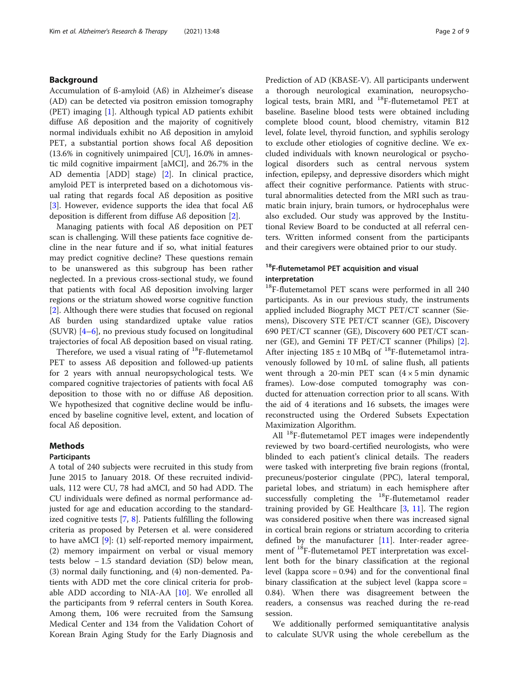## Background

Accumulation of ß-amyloid (Aß) in Alzheimer's disease (AD) can be detected via positron emission tomography (PET) imaging [\[1](#page-7-0)]. Although typical AD patients exhibit diffuse Aß deposition and the majority of cognitively normal individuals exhibit no Aß deposition in amyloid PET, a substantial portion shows focal Aß deposition (13.6% in cognitively unimpaired [CU], 16.0% in amnestic mild cognitive impairment [aMCI], and 26.7% in the AD dementia [ADD] stage) [[2\]](#page-7-0). In clinical practice, amyloid PET is interpreted based on a dichotomous visual rating that regards focal Aß deposition as positive [[3\]](#page-7-0). However, evidence supports the idea that focal Aß deposition is different from diffuse Aß deposition [[2\]](#page-7-0).

Managing patients with focal Aß deposition on PET scan is challenging. Will these patients face cognitive decline in the near future and if so, what initial features may predict cognitive decline? These questions remain to be unanswered as this subgroup has been rather neglected. In a previous cross-sectional study, we found that patients with focal Aß deposition involving larger regions or the striatum showed worse cognitive function [[2\]](#page-7-0). Although there were studies that focused on regional Aß burden using standardized uptake value ratios (SUVR) [\[4](#page-7-0)–[6\]](#page-7-0), no previous study focused on longitudinal trajectories of focal Aß deposition based on visual rating.

Therefore, we used a visual rating of  $^{18}$ F-flutemetamol PET to assess Aß deposition and followed-up patients for 2 years with annual neuropsychological tests. We compared cognitive trajectories of patients with focal Aß deposition to those with no or diffuse Aß deposition. We hypothesized that cognitive decline would be influenced by baseline cognitive level, extent, and location of focal Aß deposition.

## Methods

## Participants

A total of 240 subjects were recruited in this study from June 2015 to January 2018. Of these recruited individuals, 112 were CU, 78 had aMCI, and 50 had ADD. The CU individuals were defined as normal performance adjusted for age and education according to the standardized cognitive tests [[7,](#page-7-0) [8\]](#page-7-0). Patients fulfilling the following criteria as proposed by Petersen et al. were considered to have aMCI [[9\]](#page-7-0): (1) self-reported memory impairment, (2) memory impairment on verbal or visual memory tests below − 1.5 standard deviation (SD) below mean, (3) normal daily functioning, and (4) non-demented. Patients with ADD met the core clinical criteria for probable ADD according to NIA-AA [\[10](#page-7-0)]. We enrolled all the participants from 9 referral centers in South Korea. Among them, 106 were recruited from the Samsung Medical Center and 134 from the Validation Cohort of Korean Brain Aging Study for the Early Diagnosis and Prediction of AD (KBASE-V). All participants underwent a thorough neurological examination, neuropsychological tests, brain MRI, and <sup>18</sup>F-flutemetamol PET at baseline. Baseline blood tests were obtained including complete blood count, blood chemistry, vitamin B12 level, folate level, thyroid function, and syphilis serology to exclude other etiologies of cognitive decline. We excluded individuals with known neurological or psychological disorders such as central nervous system infection, epilepsy, and depressive disorders which might affect their cognitive performance. Patients with structural abnormalities detected from the MRI such as traumatic brain injury, brain tumors, or hydrocephalus were also excluded. Our study was approved by the Institutional Review Board to be conducted at all referral centers. Written informed consent from the participants and their caregivers were obtained prior to our study.

## <sup>18</sup>F-flutemetamol PET acquisition and visual interpretation

<sup>18</sup>F-flutemetamol PET scans were performed in all 240 participants. As in our previous study, the instruments applied included Biography MCT PET/CT scanner (Siemens), Discovery STE PET/CT scanner (GE), Discovery 690 PET/CT scanner (GE), Discovery 600 PET/CT scanner (GE), and Gemini TF PET/CT scanner (Philips) [\[2](#page-7-0)]. After injecting  $185 \pm 10$  MBq of <sup>18</sup>F-flutemetamol intravenously followed by 10 mL of saline flush, all patients went through a 20-min PET scan  $(4 \times 5 \text{ min})$  dynamic frames). Low-dose computed tomography was conducted for attenuation correction prior to all scans. With the aid of 4 iterations and 16 subsets, the images were reconstructed using the Ordered Subsets Expectation Maximization Algorithm.

All <sup>18</sup>F-flutemetamol PET images were independently reviewed by two board-certified neurologists, who were blinded to each patient's clinical details. The readers were tasked with interpreting five brain regions (frontal, precuneus/posterior cingulate (PPC), lateral temporal, parietal lobes, and striatum) in each hemisphere after successfully completing the <sup>18</sup>F-flutemetamol reader training provided by GE Healthcare [\[3](#page-7-0), [11](#page-7-0)]. The region was considered positive when there was increased signal in cortical brain regions or striatum according to criteria defined by the manufacturer [[11\]](#page-7-0). Inter-reader agreement of <sup>18</sup>F-flutemetamol PET interpretation was excellent both for the binary classification at the regional level (kappa score = 0.94) and for the conventional final binary classification at the subject level (kappa score = 0.84). When there was disagreement between the readers, a consensus was reached during the re-read session.

We additionally performed semiquantitative analysis to calculate SUVR using the whole cerebellum as the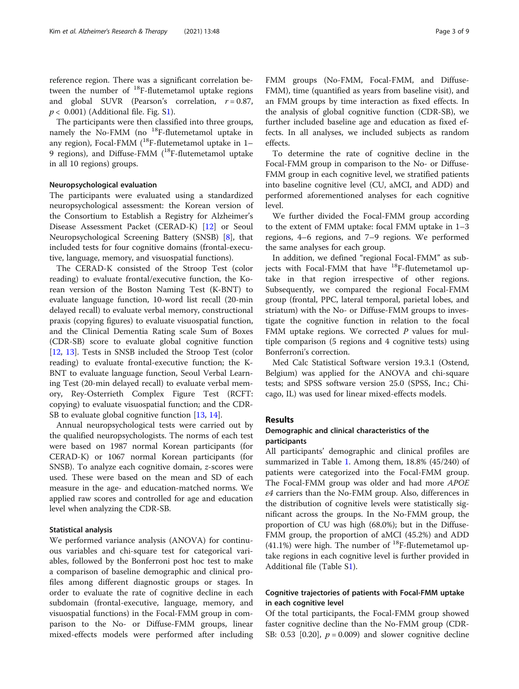reference region. There was a significant correlation between the number of 18F-flutemetamol uptake regions and global SUVR (Pearson's correlation,  $r = 0.87$ ,  $p < 0.001$ ) (Additional file. Fig. [S1\)](#page-7-0).

The participants were then classified into three groups, namely the No-FMM (no <sup>18</sup>F-flutemetamol uptake in any region), Focal-FMM ( $^{18}$ F-flutemetamol uptake in 1– 9 regions), and Diffuse-FMM  $(^{18}F$ -flutemetamol uptake in all 10 regions) groups.

## Neuropsychological evaluation

The participants were evaluated using a standardized neuropsychological assessment: the Korean version of the Consortium to Establish a Registry for Alzheimer's Disease Assessment Packet (CERAD-K) [\[12](#page-7-0)] or Seoul Neuropsychological Screening Battery (SNSB) [\[8](#page-7-0)], that included tests for four cognitive domains (frontal-executive, language, memory, and visuospatial functions).

The CERAD-K consisted of the Stroop Test (color reading) to evaluate frontal/executive function, the Korean version of the Boston Naming Test (K-BNT) to evaluate language function, 10-word list recall (20-min delayed recall) to evaluate verbal memory, constructional praxis (copying figures) to evaluate visuospatial function, and the Clinical Dementia Rating scale Sum of Boxes (CDR-SB) score to evaluate global cognitive function [[12,](#page-7-0) [13](#page-8-0)]. Tests in SNSB included the Stroop Test (color reading) to evaluate frontal-executive function; the K-BNT to evaluate language function, Seoul Verbal Learning Test (20-min delayed recall) to evaluate verbal memory, Rey-Osterrieth Complex Figure Test (RCFT: copying) to evaluate visuospatial function; and the CDR-SB to evaluate global cognitive function [\[13](#page-8-0), [14](#page-8-0)].

Annual neuropsychological tests were carried out by the qualified neuropsychologists. The norms of each test were based on 1987 normal Korean participants (for CERAD-K) or 1067 normal Korean participants (for SNSB). To analyze each cognitive domain, z-scores were used. These were based on the mean and SD of each measure in the age- and education-matched norms. We applied raw scores and controlled for age and education level when analyzing the CDR-SB.

#### Statistical analysis

We performed variance analysis (ANOVA) for continuous variables and chi-square test for categorical variables, followed by the Bonferroni post hoc test to make a comparison of baseline demographic and clinical profiles among different diagnostic groups or stages. In order to evaluate the rate of cognitive decline in each subdomain (frontal-executive, language, memory, and visuospatial functions) in the Focal-FMM group in comparison to the No- or Diffuse-FMM groups, linear mixed-effects models were performed after including FMM groups (No-FMM, Focal-FMM, and Diffuse-FMM), time (quantified as years from baseline visit), and an FMM groups by time interaction as fixed effects. In the analysis of global cognitive function (CDR-SB), we further included baseline age and education as fixed effects. In all analyses, we included subjects as random effects.

To determine the rate of cognitive decline in the Focal-FMM group in comparison to the No- or Diffuse-FMM group in each cognitive level, we stratified patients into baseline cognitive level (CU, aMCI, and ADD) and performed aforementioned analyses for each cognitive level.

We further divided the Focal-FMM group according to the extent of FMM uptake: focal FMM uptake in 1–3 regions, 4–6 regions, and 7–9 regions. We performed the same analyses for each group.

In addition, we defined "regional Focal-FMM" as subjects with Focal-FMM that have  $^{18}$ F-flutemetamol uptake in that region irrespective of other regions. Subsequently, we compared the regional Focal-FMM group (frontal, PPC, lateral temporal, parietal lobes, and striatum) with the No- or Diffuse-FMM groups to investigate the cognitive function in relation to the focal FMM uptake regions. We corrected  $P$  values for multiple comparison (5 regions and 4 cognitive tests) using Bonferroni's correction.

Med Calc Statistical Software version 19.3.1 (Ostend, Belgium) was applied for the ANOVA and chi-square tests; and SPSS software version 25.0 (SPSS, Inc.; Chicago, IL) was used for linear mixed-effects models.

## Results

## Demographic and clinical characteristics of the participants

All participants' demographic and clinical profiles are summarized in Table [1](#page-3-0). Among them, 18.8% (45/240) of patients were categorized into the Focal-FMM group. The Focal-FMM group was older and had more APOE ε4 carriers than the No-FMM group. Also, differences in the distribution of cognitive levels were statistically significant across the groups. In the No-FMM group, the proportion of CU was high (68.0%); but in the Diffuse-FMM group, the proportion of aMCI (45.2%) and ADD  $(41.1%)$  were high. The number of <sup>18</sup>F-flutemetamol uptake regions in each cognitive level is further provided in Additional file (Table [S1](#page-7-0)).

## Cognitive trajectories of patients with Focal-FMM uptake in each cognitive level

Of the total participants, the Focal-FMM group showed faster cognitive decline than the No-FMM group (CDR-SB: 0.53 [0.20],  $p = 0.009$ ) and slower cognitive decline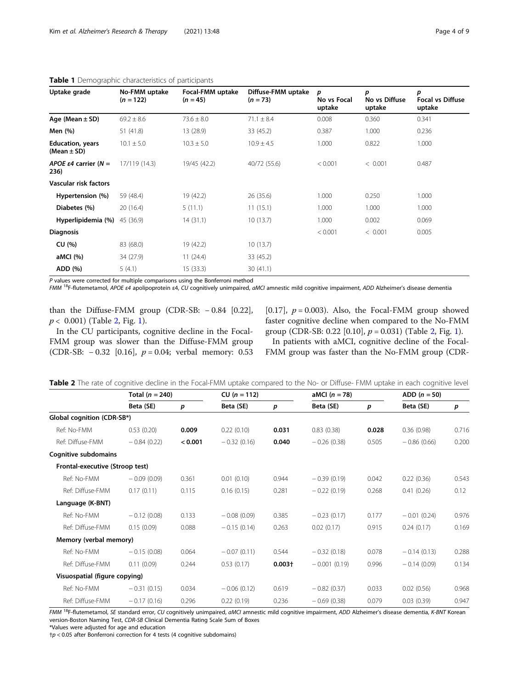| Uptake grade                               | No-FMM uptake<br>$(n = 122)$ | Focal-FMM uptake<br>$(n = 45)$ | Diffuse-FMM uptake<br>$(n = 73)$ | р<br>No vs Focal<br>uptake | p<br>No vs Diffuse<br>uptake | р<br><b>Focal vs Diffuse</b><br>uptake |
|--------------------------------------------|------------------------------|--------------------------------|----------------------------------|----------------------------|------------------------------|----------------------------------------|
| Age (Mean $\pm$ SD)                        | $69.2 \pm 8.6$               | $73.6 \pm 8.0$                 | $71.1 \pm 8.4$                   | 0.008                      | 0.360                        | 0.341                                  |
| Men (%)                                    | 51 (41.8)                    | 13 (28.9)                      | 33(45.2)                         | 0.387                      | 1.000                        | 0.236                                  |
| <b>Education, years</b><br>(Mean $\pm$ SD) | $10.1 \pm 5.0$               | $10.3 \pm 5.0$                 | $10.9 \pm 4.5$                   | 1.000                      | 0.822                        | 1.000                                  |
| APOE $\varepsilon$ 4 carrier (N =<br>236)  | 17/119 (14.3)                | 19/45 (42.2)                   | 40/72 (55.6)                     | < 0.001                    | < 0.001                      | 0.487                                  |
| Vascular risk factors                      |                              |                                |                                  |                            |                              |                                        |
| Hypertension (%)                           | 59 (48.4)                    | 19 (42.2)                      | 26(35.6)                         | 1.000                      | 0.250                        | 1.000                                  |
| Diabetes (%)                               | 20(16.4)                     | 5(11.1)                        | 11(15.1)                         | 1.000                      | 1.000                        | 1.000                                  |
| Hyperlipidemia (%)                         | 45 (36.9)                    | 14(31.1)                       | 10(13.7)                         | 1.000                      | 0.002                        | 0.069                                  |
| <b>Diagnosis</b>                           |                              |                                |                                  | < 0.001                    | < 0.001                      | 0.005                                  |
| CU (%)                                     | 83 (68.0)                    | 19 (42.2)                      | 10(13.7)                         |                            |                              |                                        |
| aMCI (%)                                   | 34 (27.9)                    | 11(24.4)                       | 33 (45.2)                        |                            |                              |                                        |
| ADD (%)                                    | 5(4.1)                       | 15(33.3)                       | 30(41.1)                         |                            |                              |                                        |

## <span id="page-3-0"></span>Table 1 Demographic characteristics of participants

P values were corrected for multiple comparisons using the Bonferroni method

FMM <sup>18</sup>F-flutemetamol, APOE ε4 apolipoprotein ε4, CU cognitively unimpaired, aMCI amnestic mild cognitive impairment, ADD Alzheimer's disease dementia

than the Diffuse-FMM group (CDR-SB:  $-0.84$  [0.22],  $p < 0.001$  $p < 0.001$ ) (Table 2, Fig. 1).

In the CU participants, cognitive decline in the Focal-FMM group was slower than the Diffuse-FMM group (CDR-SB: − 0.32 [0.16], p = 0.04; verbal memory: 0.53 [0.17],  $p = 0.003$ ). Also, the Focal-FMM group showed faster cognitive decline when compared to the No-FMM group (CDR-SB: 0.22 [0.[1](#page-4-0)0],  $p = 0.031$ ) (Table 2, Fig. 1).

In patients with aMCI, cognitive decline of the Focal-FMM group was faster than the No-FMM group (CDR-

|                                 | Total $(n = 240)$ |         | $CU (n = 112)$ |           | aMCI $(n = 78)$ |       | ADD $(n = 50)$ |       |
|---------------------------------|-------------------|---------|----------------|-----------|-----------------|-------|----------------|-------|
|                                 | Beta (SE)         | p       | Beta (SE)      | p         | Beta (SE)       | p     | Beta (SE)      | p     |
| Global cognition (CDR-SB*)      |                   |         |                |           |                 |       |                |       |
| Ref: No-FMM                     | 0.53(0.20)        | 0.009   | 0.22(0.10)     | 0.031     | 0.83(0.38)      | 0.028 | 0.36(0.98)     | 0.716 |
| Ref: Diffuse-FMM                | $-0.84(0.22)$     | < 0.001 | $-0.32(0.16)$  | 0.040     | $-0.26(0.38)$   | 0.505 | $-0.86(0.66)$  | 0.200 |
| Cognitive subdomains            |                   |         |                |           |                 |       |                |       |
| Frontal-executive (Stroop test) |                   |         |                |           |                 |       |                |       |
| Ref: No-FMM                     | $-0.09(0.09)$     | 0.361   | 0.01(0.10)     | 0.944     | $-0.39(0.19)$   | 0.042 | 0.22(0.36)     | 0.543 |
| Ref: Diffuse-FMM                | 0.17(0.11)        | 0.115   | 0.16(0.15)     | 0.281     | $-0.22(0.19)$   | 0.268 | 0.41(0.26)     | 0.12  |
| Language (K-BNT)                |                   |         |                |           |                 |       |                |       |
| Ref: No-FMM                     | $-0.12(0.08)$     | 0.133   | $-0.08(0.09)$  | 0.385     | $-0.23(0.17)$   | 0.177 | $-0.01(0.24)$  | 0.976 |
| Ref: Diffuse-FMM                | 0.15(0.09)        | 0.088   | $-0.15(0.14)$  | 0.263     | 0.02(0.17)      | 0.915 | 0.24(0.17)     | 0.169 |
| Memory (verbal memory)          |                   |         |                |           |                 |       |                |       |
| Ref: No-FMM                     | $-0.15(0.08)$     | 0.064   | $-0.07(0.11)$  | 0.544     | $-0.32(0.18)$   | 0.078 | $-0.14(0.13)$  | 0.288 |
| Ref: Diffuse-FMM                | 0.11(0.09)        | 0.244   | 0.53(0.17)     | $0.003 +$ | $-0.001(0.19)$  | 0.996 | $-0.14(0.09)$  | 0.134 |
| Visuospatial (figure copying)   |                   |         |                |           |                 |       |                |       |
| Ref: No-FMM                     | $-0.31(0.15)$     | 0.034   | $-0.06(0.12)$  | 0.619     | $-0.82(0.37)$   | 0.033 | 0.02(0.56)     | 0.968 |
| Ref: Diffuse-FMM                | $-0.17(0.16)$     | 0.296   | 0.22(0.19)     | 0.236     | $-0.69(0.38)$   | 0.079 | 0.03(0.39)     | 0.947 |

Table 2 The rate of cognitive decline in the Focal-FMM uptake compared to the No- or Diffuse- FMM uptake in each cognitive level

FMM <sup>18</sup>F-flutemetamol, SE standard error, CU cognitively unimpaired, aMCI amnestic mild cognitive impairment, ADD Alzheimer's disease dementia, K-BNT Korean version-Boston Naming Test, CDR-SB Clinical Dementia Rating Scale Sum of Boxes

\*Values were adjusted for age and education

 $\uparrow p$  < 0.05 after Bonferroni correction for 4 tests (4 cognitive subdomains)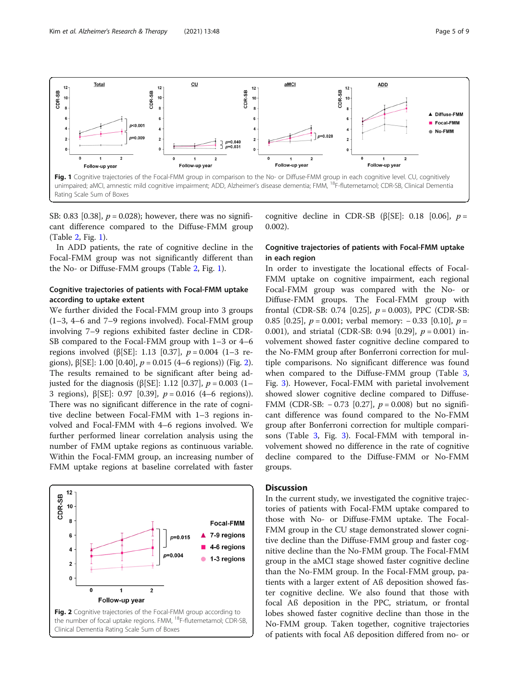<span id="page-4-0"></span>

SB: 0.83 [0.38],  $p = 0.028$ ; however, there was no significant difference compared to the Diffuse-FMM group (Table [2,](#page-3-0) Fig. 1).

In ADD patients, the rate of cognitive decline in the Focal-FMM group was not significantly different than the No- or Diffuse-FMM groups (Table [2,](#page-3-0) Fig. 1).

## Cognitive trajectories of patients with Focal-FMM uptake according to uptake extent

We further divided the Focal-FMM group into 3 groups (1–3, 4–6 and 7–9 regions involved). Focal-FMM group involving 7–9 regions exhibited faster decline in CDR-SB compared to the Focal-FMM group with 1–3 or 4–6 regions involved (β[SE]: 1.13 [0.37],  $p = 0.004$  (1–3 regions),  $\beta$ [SE]: 1.00 [0.40],  $p = 0.015$  (4–6 regions)) (Fig. 2). The results remained to be significant after being adjusted for the diagnosis (β[SE]: 1.12 [0.37],  $p = 0.003$  (1– 3 regions), β[SE]: 0.97 [0.39], p = 0.016 (4–6 regions)). There was no significant difference in the rate of cognitive decline between Focal-FMM with 1–3 regions involved and Focal-FMM with 4–6 regions involved. We further performed linear correlation analysis using the number of FMM uptake regions as continuous variable. Within the Focal-FMM group, an increasing number of FMM uptake regions at baseline correlated with faster



the number of focal uptake regions. FMM, <sup>18</sup>F-flutemetamol; CDR-SB, Clinical Dementia Rating Scale Sum of Boxes

cognitive decline in CDR-SB ( $\beta$ [SE]: 0.18 [0.06], p = 0.002).

## Cognitive trajectories of patients with Focal-FMM uptake in each region

In order to investigate the locational effects of Focal-FMM uptake on cognitive impairment, each regional Focal-FMM group was compared with the No- or Diffuse-FMM groups. The Focal-FMM group with frontal (CDR-SB: 0.74 [0.25],  $p = 0.003$ ), PPC (CDR-SB: 0.85 [0.25],  $p = 0.001$ ; verbal memory:  $- 0.33$  [0.10],  $p =$ 0.001), and striatal (CDR-SB: 0.94 [0.29],  $p = 0.001$ ) involvement showed faster cognitive decline compared to the No-FMM group after Bonferroni correction for multiple comparisons. No significant difference was found when compared to the Diffuse-FMM group (Table [3](#page-5-0), Fig. [3](#page-6-0)). However, Focal-FMM with parietal involvement showed slower cognitive decline compared to Diffuse-FMM (CDR-SB:  $-0.73$  [0.27],  $p = 0.008$ ) but no significant difference was found compared to the No-FMM group after Bonferroni correction for multiple comparisons (Table [3,](#page-5-0) Fig. [3](#page-6-0)). Focal-FMM with temporal involvement showed no difference in the rate of cognitive decline compared to the Diffuse-FMM or No-FMM groups.

## **Discussion**

In the current study, we investigated the cognitive trajectories of patients with Focal-FMM uptake compared to those with No- or Diffuse-FMM uptake. The Focal-FMM group in the CU stage demonstrated slower cognitive decline than the Diffuse-FMM group and faster cognitive decline than the No-FMM group. The Focal-FMM group in the aMCI stage showed faster cognitive decline than the No-FMM group. In the Focal-FMM group, patients with a larger extent of Aß deposition showed faster cognitive decline. We also found that those with focal Aß deposition in the PPC, striatum, or frontal lobes showed faster cognitive decline than those in the No-FMM group. Taken together, cognitive trajectories of patients with focal Aß deposition differed from no- or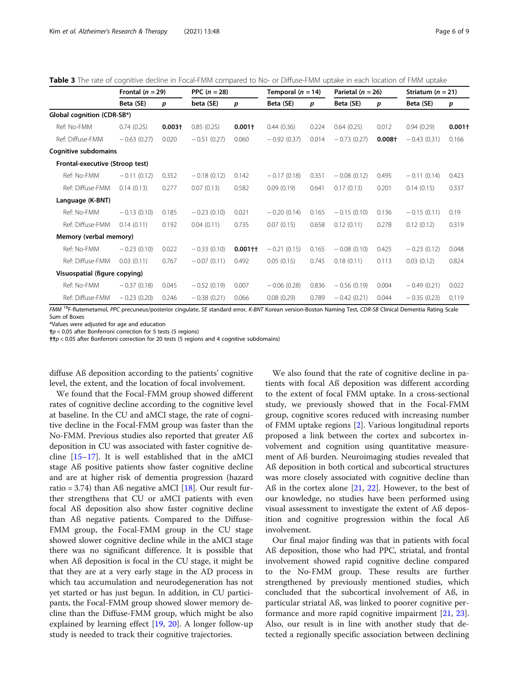<span id="page-5-0"></span>Table 3 The rate of cognitive decline in Focal-FMM compared to No- or Diffuse-FMM uptake in each location of FMM uptake

|                                 | Frontal ( $n = 29$ ) |           | PPC $(n = 28)$ |           | Temporal $(n = 14)$ |                  | Parietal $(n = 26)$ |           | Striatum ( $n = 21$ ) |          |
|---------------------------------|----------------------|-----------|----------------|-----------|---------------------|------------------|---------------------|-----------|-----------------------|----------|
|                                 | Beta (SE)            | p         | beta (SE)      | p         | Beta (SE)           | $\boldsymbol{p}$ | Beta (SE)           | p         | Beta (SE)             | p        |
| Global cognition (CDR-SB*)      |                      |           |                |           |                     |                  |                     |           |                       |          |
| Ref: No-FMM                     | 0.74(0.25)           | $0.003 +$ | 0.85(0.25)     | $0.001+$  | 0.44(0.36)          | 0.224            | 0.64(0.25)          | 0.012     | 0.94(0.29)            | $0.001+$ |
| Ref: Diffuse-FMM                | $-0.63(0.27)$        | 0.020     | $-0.51(0.27)$  | 0.060     | $-0.92(0.37)$       | 0.014            | $-0.73(0.27)$       | $0.008 +$ | $-0.43(0.31)$         | 0.166    |
| Cognitive subdomains            |                      |           |                |           |                     |                  |                     |           |                       |          |
| Frontal-executive (Stroop test) |                      |           |                |           |                     |                  |                     |           |                       |          |
| Ref: No-FMM                     | $-0.11(0.12)$        | 0.352     | $-0.18(0.12)$  | 0.142     | $-0.17(0.18)$       | 0.351            | $-0.08(0.12)$       | 0.495     | $-0.11(0.14)$         | 0.423    |
| Ref: Diffuse-FMM                | 0.14(0.13)           | 0.277     | 0.07(0.13)     | 0.582     | 0.09(0.19)          | 0.641            | 0.17(0.13)          | 0.201     | 0.14(0.15)            | 0.337    |
| Language (K-BNT)                |                      |           |                |           |                     |                  |                     |           |                       |          |
| Ref: No-FMM                     | $-0.13(0.10)$        | 0.185     | $-0.23(0.10)$  | 0.021     | $-0.20(0.14)$       | 0.165            | $-0.15(0.10)$       | 0.136     | $-0.15(0.11)$         | 0.19     |
| Ref: Diffuse-FMM                | 0.14(0.11)           | 0.192     | 0.04(0.11)     | 0.735     | 0.07(0.15)          | 0.658            | 0.12(0.11)          | 0.278     | 0.12(0.12)            | 0.319    |
| Memory (verbal memory)          |                      |           |                |           |                     |                  |                     |           |                       |          |
| Ref: No-FMM                     | $-0.23(0.10)$        | 0.022     | $-0.33(0.10)$  | $0.001 +$ | $-0.21(0.15)$       | 0.165            | $-0.08(0.10)$       | 0.425     | $-0.23(0.12)$         | 0.048    |
| Ref: Diffuse-FMM                | 0.03(0.11)           | 0.767     | $-0.07(0.11)$  | 0.492     | 0.05(0.15)          | 0.745            | 0.18(0.11)          | 0.113     | 0.03(0.12)            | 0.824    |
| Visuospatial (figure copying)   |                      |           |                |           |                     |                  |                     |           |                       |          |
| Ref: No-FMM                     | $-0.37(0.18)$        | 0.045     | $-0.52(0.19)$  | 0.007     | $-0.06(0.28)$       | 0.836            | $-0.56(0.19)$       | 0.004     | $-0.49(0.21)$         | 0.022    |
| Ref: Diffuse-FMM                | $-0.23(0.20)$        | 0.246     | $-0.38(0.21)$  | 0.066     | 0.08(0.29)          | 0.789            | $-0.42(0.21)$       | 0.044     | $-0.35(0.23)$         | 0.119    |

FMM 18F-flutemetamol, PPC precuneus/posterior cingulate, SE standard error, K-BNT Korean version-Boston Naming Test, CDR-SB Clinical Dementia Rating Scale Sum of Boxes

\*Values were adjusted for age and education

 $\uparrow p$  < 0.05 after Bonferroni correction for 5 tests (5 regions)

††p < 0.05 after Bonferroni correction for 20 tests (5 regions and 4 cognitive subdomains)

diffuse Aß deposition according to the patients' cognitive level, the extent, and the location of focal involvement.

We found that the Focal-FMM group showed different rates of cognitive decline according to the cognitive level at baseline. In the CU and aMCI stage, the rate of cognitive decline in the Focal-FMM group was faster than the No-FMM. Previous studies also reported that greater Aß deposition in CU was associated with faster cognitive decline [\[15](#page-8-0)–[17\]](#page-8-0). It is well established that in the aMCI stage Aß positive patients show faster cognitive decline and are at higher risk of dementia progression (hazard ratio = 3.74) than Aß negative aMCI [\[18](#page-8-0)]. Our result further strengthens that CU or aMCI patients with even focal Aß deposition also show faster cognitive decline than Aß negative patients. Compared to the Diffuse-FMM group, the Focal-FMM group in the CU stage showed slower cognitive decline while in the aMCI stage there was no significant difference. It is possible that when Aß deposition is focal in the CU stage, it might be that they are at a very early stage in the AD process in which tau accumulation and neurodegeneration has not yet started or has just begun. In addition, in CU participants, the Focal-FMM group showed slower memory decline than the Diffuse-FMM group, which might be also explained by learning effect [[19](#page-8-0), [20\]](#page-8-0). A longer follow-up study is needed to track their cognitive trajectories.

We also found that the rate of cognitive decline in patients with focal Aß deposition was different according to the extent of focal FMM uptake. In a cross-sectional study, we previously showed that in the Focal-FMM group, cognitive scores reduced with increasing number of FMM uptake regions [\[2\]](#page-7-0). Various longitudinal reports proposed a link between the cortex and subcortex involvement and cognition using quantitative measurement of Aß burden. Neuroimaging studies revealed that Aß deposition in both cortical and subcortical structures was more closely associated with cognitive decline than Aß in the cortex alone [\[21,](#page-8-0) [22](#page-8-0)]. However, to the best of our knowledge, no studies have been performed using visual assessment to investigate the extent of Aß deposition and cognitive progression within the focal Aß involvement.

Our final major finding was that in patients with focal Aß deposition, those who had PPC, striatal, and frontal involvement showed rapid cognitive decline compared to the No-FMM group. These results are further strengthened by previously mentioned studies, which concluded that the subcortical involvement of Aß, in particular striatal Aß, was linked to poorer cognitive performance and more rapid cognitive impairment [\[21,](#page-8-0) [23](#page-8-0)]. Also, our result is in line with another study that detected a regionally specific association between declining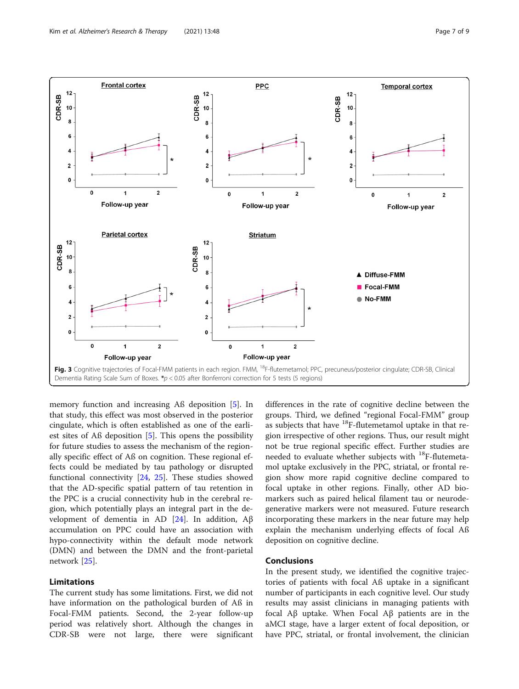<span id="page-6-0"></span>

memory function and increasing Aß deposition [\[5\]](#page-7-0). In that study, this effect was most observed in the posterior cingulate, which is often established as one of the earliest sites of Aß deposition [[5\]](#page-7-0). This opens the possibility for future studies to assess the mechanism of the regionally specific effect of Aß on cognition. These regional effects could be mediated by tau pathology or disrupted functional connectivity [\[24](#page-8-0), [25](#page-8-0)]. These studies showed that the AD-specific spatial pattern of tau retention in the PPC is a crucial connectivity hub in the cerebral region, which potentially plays an integral part in the de-velopment of dementia in AD [[24\]](#page-8-0). In addition,  $A\beta$ accumulation on PPC could have an association with hypo-connectivity within the default mode network (DMN) and between the DMN and the front-parietal network [\[25](#page-8-0)].

## Limitations

The current study has some limitations. First, we did not have information on the pathological burden of Aß in Focal-FMM patients. Second, the 2-year follow-up period was relatively short. Although the changes in CDR-SB were not large, there were significant

differences in the rate of cognitive decline between the groups. Third, we defined "regional Focal-FMM" group as subjects that have  $^{18}$ F-flutemetamol uptake in that region irrespective of other regions. Thus, our result might not be true regional specific effect. Further studies are needed to evaluate whether subjects with <sup>18</sup>F-flutemetamol uptake exclusively in the PPC, striatal, or frontal region show more rapid cognitive decline compared to focal uptake in other regions. Finally, other AD biomarkers such as paired helical filament tau or neurodegenerative markers were not measured. Future research incorporating these markers in the near future may help explain the mechanism underlying effects of focal Aß deposition on cognitive decline.

## Conclusions

In the present study, we identified the cognitive trajectories of patients with focal Aß uptake in a significant number of participants in each cognitive level. Our study results may assist clinicians in managing patients with focal Aβ uptake. When Focal Aβ patients are in the aMCI stage, have a larger extent of focal deposition, or have PPC, striatal, or frontal involvement, the clinician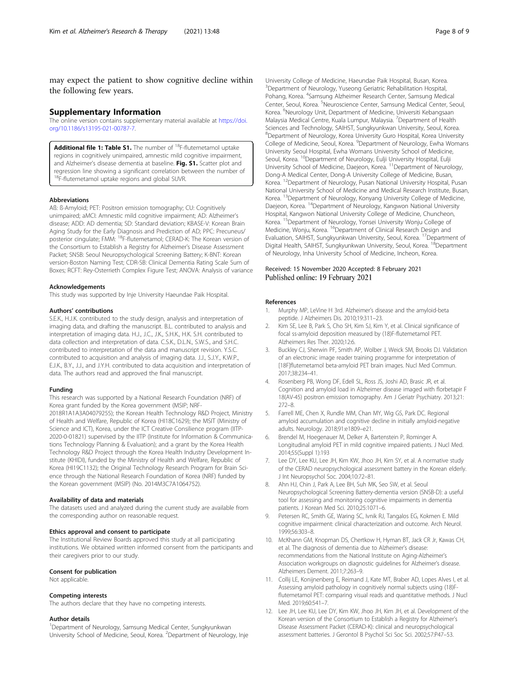<span id="page-7-0"></span>may expect the patient to show cognitive decline within the following few years.

#### Supplementary Information

The online version contains supplementary material available at [https://doi.](https://doi.org/10.1186/s13195-021-00787-7) [org/10.1186/s13195-021-00787-7.](https://doi.org/10.1186/s13195-021-00787-7)

Additional file 1: Table S1. The number of <sup>18</sup>F-flutemetamol uptake regions in cognitively unimpaired, amnestic mild cognitive impairment, and Alzheimer's disease dementia at baseline. Fig. S1. Scatter plot and regression line showing a significant correlation between the number of <sup>18</sup>F-flutemetamol uptake regions and global SUVR.

#### Abbreviations

Aß: ß-Amyloid; PET: Positron emission tomography; CU: Cognitively unimpaired; aMCI: Amnestic mild cognitive impairment; AD: Alzheimer's disease; ADD: AD dementia; SD: Standard deviation; KBASE-V: Korean Brain Aging Study for the Early Diagnosis and Prediction of AD; PPC: Precuneus/ posterior cingulate; FMM: 18F-flutemetamol; CERAD-K: The Korean version of the Consortium to Establish a Registry for Alzheimer's Disease Assessment Packet; SNSB: Seoul Neuropsychological Screening Battery; K-BNT: Korean version-Boston Naming Test; CDR-SB: Clinical Dementia Rating Scale Sum of Boxes; RCFT: Rey-Osterrieth Complex Figure Test; ANOVA: Analysis of variance

#### Acknowledgements

This study was supported by Inje University Haeundae Paik Hospital.

#### Authors' contributions

S.E.K., H.J.K. contributed to the study design, analysis and interpretation of imaging data, and drafting the manuscript. B.L. contributed to analysis and interpretation of imaging data. H.J., J.C., J.K., S.H.K., H.K. S.H. contributed to data collection and interpretation of data. C.S.K., D.L.N., S.W.S., and S.H.C. contributed to interpretation of the data and manuscript revision. Y.S.C. contributed to acquisition and analysis of imaging data. J.J., S.J.Y., K.W.P., E.J.K., B.Y., J.J., and J.Y.H. contributed to data acquisition and interpretation of data. The authors read and approved the final manuscript.

#### Funding

This research was supported by a National Research Foundation (NRF) of Korea grant funded by the Korea government (MSIP; NRF-2018R1A1A3A04079255); the Korean Health Technology R&D Project, Ministry of Health and Welfare, Republic of Korea (HI18C1629); the MSIT (Ministry of Science and ICT), Korea, under the ICT Creative Consilience program (IITP-2020-0-01821) supervised by the IITP (Institute for Information & Communications Technology Planning & Evaluation); and a grant by the Korea Health Technology R&D Project through the Korea Health Industry Development Institute (KHIDI), funded by the Ministry of Health and Welfare, Republic of Korea (HI19C1132); the Original Technology Research Program for Brain Science through the National Research Foundation of Korea (NRF) funded by the Korean government (MSIP) (No. 2014M3C7A1064752).

#### Availability of data and materials

The datasets used and analyzed during the current study are available from the corresponding author on reasonable request.

#### Ethics approval and consent to participate

The Institutional Review Boards approved this study at all participating institutions. We obtained written informed consent from the participants and their caregivers prior to our study.

#### Consent for publication

Not applicable.

#### Competing interests

The authors declare that they have no competing interests.

#### Author details

<sup>1</sup>Department of Neurology, Samsung Medical Center, Sungkyunkwan University School of Medicine, Seoul, Korea. <sup>2</sup>Department of Neurology, Inje University College of Medicine, Haeundae Paik Hospital, Busan, Korea. <sup>3</sup>Department of Neurology, Yuseong Geriatric Rehabilitation Hospital, Pohang, Korea. <sup>4</sup>Samsung Alzheimer Research Center, Samsung Medical Center, Seoul, Korea. <sup>5</sup>Neuroscience Center, Samsung Medical Center, Seoul Korea. <sup>6</sup>Neurology Unit, Department of Medicine, Universiti Kebangsaan Malaysia Medical Centre, Kuala Lumpur, Malaysia. <sup>7</sup>Department of Health Sciences and Technology, SAIHST, Sungkyunkwan University, Seoul, Korea. 8 Department of Neurology, Korea University Guro Hospital, Korea University College of Medicine, Seoul, Korea. <sup>9</sup>Department of Neurology, Ewha Womans University Seoul Hospital, Ewha Womans University School of Medicine, Seoul, Korea. <sup>10</sup>Department of Neurology, Eulji University Hospital, Eulji University School of Medicine, Daejeon, Korea. <sup>11</sup>Department of Neurology, Dong-A Medical Center, Dong-A University College of Medicine, Busan, Korea. 12Department of Neurology, Pusan National University Hospital, Pusan National University School of Medicine and Medical Research Institute, Busan, Korea. 13Department of Neurology, Konyang University College of Medicine, Daejeon, Korea. 14Department of Neurology, Kangwon National University Hospital, Kangwon National University College of Medicine, Chuncheon, Korea. <sup>15</sup>Department of Neurology, Yonsei University Wonju College of Medicine, Wonju, Korea. 16Department of Clinical Research Design and Evaluation, SAIHST, Sungkyunkwan University, Seoul, Korea. 17Department of Digital Health, SAIHST, Sungkyunkwan University, Seoul, Korea. <sup>18</sup>Department of Neurology, Inha University School of Medicine, Incheon, Korea.

### Received: 15 November 2020 Accepted: 8 February 2021 Published online: 19 February 2021

#### References

- 1. Murphy MP, LeVine H 3rd. Alzheimer's disease and the amyloid-beta peptide. J Alzheimers Dis. 2010;19:311–23.
- 2. Kim SE, Lee B, Park S, Cho SH, Kim SJ, Kim Y, et al. Clinical significance of focal ss-amyloid deposition measured by (18)F-flutemetamol PET. Alzheimers Res Ther. 2020;12:6.
- 3. Buckley CJ, Sherwin PF, Smith AP, Wolber J, Weick SM, Brooks DJ. Validation of an electronic image reader training programme for interpretation of [18F]flutemetamol beta-amyloid PET brain images. Nucl Med Commun. 2017;38:234–41.
- 4. Rosenberg PB, Wong DF, Edell SL, Ross JS, Joshi AD, Brasic JR, et al. Cognition and amyloid load in Alzheimer disease imaged with florbetapir F 18(AV-45) positron emission tomography. Am J Geriatr Psychiatry. 2013;21: 272–8.
- 5. Farrell ME, Chen X, Rundle MM, Chan MY, Wig GS, Park DC. Regional amyloid accumulation and cognitive decline in initially amyloid-negative adults. Neurology. 2018;91:e1809–e21.
- 6. Brendel M, Hoegenauer M, Delker A, Bartenstein P, Rominger A. Longitudinal amyloid PET in mild cognitive impaired patients. J Nucl Med. 2014;55(Suppl 1):193
- 7. Lee DY, Lee KU, Lee JH, Kim KW, Jhoo JH, Kim SY, et al. A normative study of the CERAD neuropsychological assessment battery in the Korean elderly. J Int Neuropsychol Soc. 2004;10:72–81.
- 8. Ahn HJ, Chin J, Park A, Lee BH, Suh MK, Seo SW, et al. Seoul Neuropsychological Screening Battery-dementia version (SNSB-D): a useful tool for assessing and monitoring cognitive impairments in dementia patients. J Korean Med Sci. 2010;25:1071–6.
- 9. Petersen RC, Smith GE, Waring SC, Ivnik RJ, Tangalos EG, Kokmen E. Mild cognitive impairment: clinical characterization and outcome. Arch Neurol. 1999;56:303–8.
- 10. McKhann GM, Knopman DS, Chertkow H, Hyman BT, Jack CR Jr, Kawas CH, et al. The diagnosis of dementia due to Alzheimer's disease: recommendations from the National Institute on Aging-Alzheimer's Association workgroups on diagnostic guidelines for Alzheimer's disease. Alzheimers Dement. 2011;7:263–9.
- 11. Collij LE, Konijnenberg E, Reimand J, Kate MT, Braber AD, Lopes Alves I, et al. Assessing amyloid pathology in cognitively normal subjects using (18)Fflutemetamol PET: comparing visual reads and quantitative methods. J Nucl Med. 2019;60:541–7.
- 12. Lee JH, Lee KU, Lee DY, Kim KW, Jhoo JH, Kim JH, et al. Development of the Korean version of the Consortium to Establish a Registry for Alzheimer's Disease Assessment Packet (CERAD-K): clinical and neuropsychological assessment batteries. J Gerontol B Psychol Sci Soc Sci. 2002;57:P47–53.